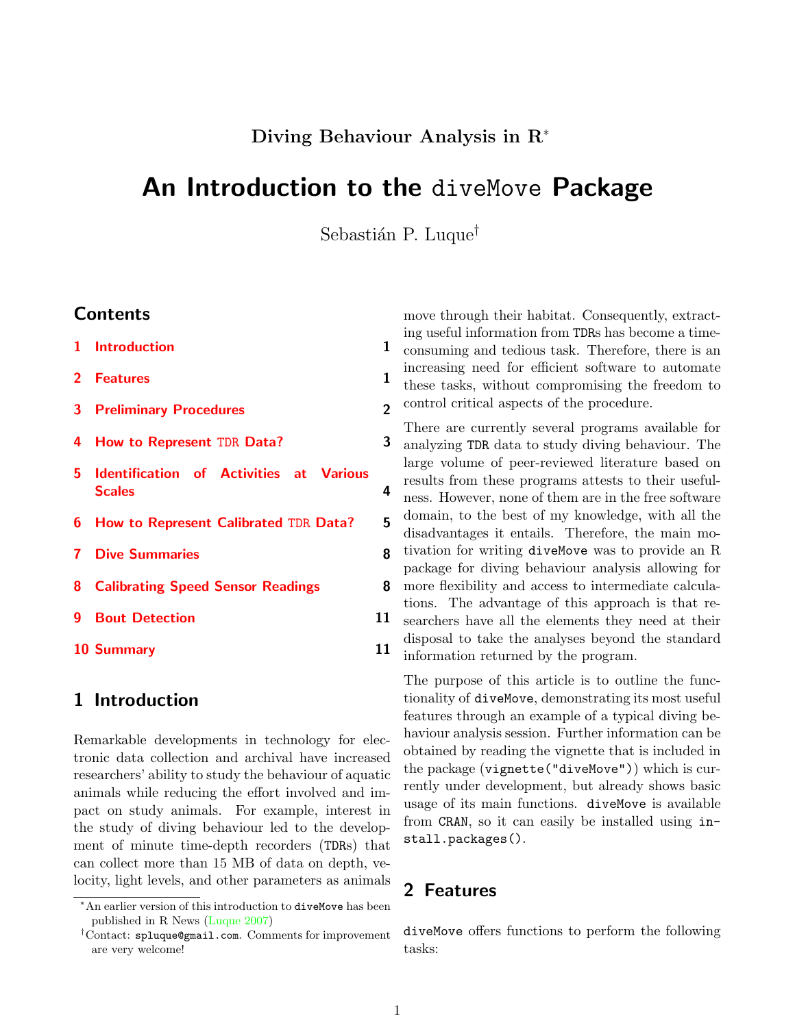## Diving Behaviour Analysis in R<sup>∗</sup>

# An Introduction to the diveMove Package

Sebastián P. Luque<sup>†</sup>

### **Contents**

- [1 Introduction](#page-0-0) 1 1
- [2 Features](#page-0-1) 1
- [3 Preliminary Procedures](#page-1-0) 2
- [4 How to Represent](#page-2-0) TDR Data? 3
- [5 Identification of Activities at Various](#page-3-0) [Scales](#page-3-0) 4
- [6 How to Represent Calibrated](#page-4-0) TDR Data? 5
- [7 Dive Summaries](#page-7-0) 8
- [8 Calibrating Speed Sensor Readings](#page-7-1) 8
- [9 Bout Detection](#page-10-0) 11
- [10 Summary](#page-10-1) 11

### <span id="page-0-0"></span>1 Introduction

Remarkable developments in technology for electronic data collection and archival have increased researchers' ability to study the behaviour of aquatic animals while reducing the effort involved and impact on study animals. For example, interest in the study of diving behaviour led to the development of minute time-depth recorders (TDRs) that can collect more than 15 MB of data on depth, velocity, light levels, and other parameters as animals

move through their habitat. Consequently, extracting useful information from TDRs has become a timeconsuming and tedious task. Therefore, there is an increasing need for efficient software to automate these tasks, without compromising the freedom to control critical aspects of the procedure.

There are currently several programs available for analyzing TDR data to study diving behaviour. The large volume of peer-reviewed literature based on results from these programs attests to their usefulness. However, none of them are in the free software domain, to the best of my knowledge, with all the disadvantages it entails. Therefore, the main motivation for writing diveMove was to provide an R package for diving behaviour analysis allowing for more flexibility and access to intermediate calculations. The advantage of this approach is that researchers have all the elements they need at their disposal to take the analyses beyond the standard information returned by the program.

The purpose of this article is to outline the functionality of diveMove, demonstrating its most useful features through an example of a typical diving behaviour analysis session. Further information can be obtained by reading the vignette that is included in the package (vignette("diveMove")) which is currently under development, but already shows basic usage of its main functions. diveMove is available from CRAN, so it can easily be installed using install.packages().

# <span id="page-0-1"></span>2 Features

diveMove offers functions to perform the following tasks:

<sup>∗</sup>An earlier version of this introduction to diveMove has been published in R News [\(Luque 2007\)](#page-10-2)

<sup>†</sup>Contact: spluque@gmail.com. Comments for improvement are very welcome!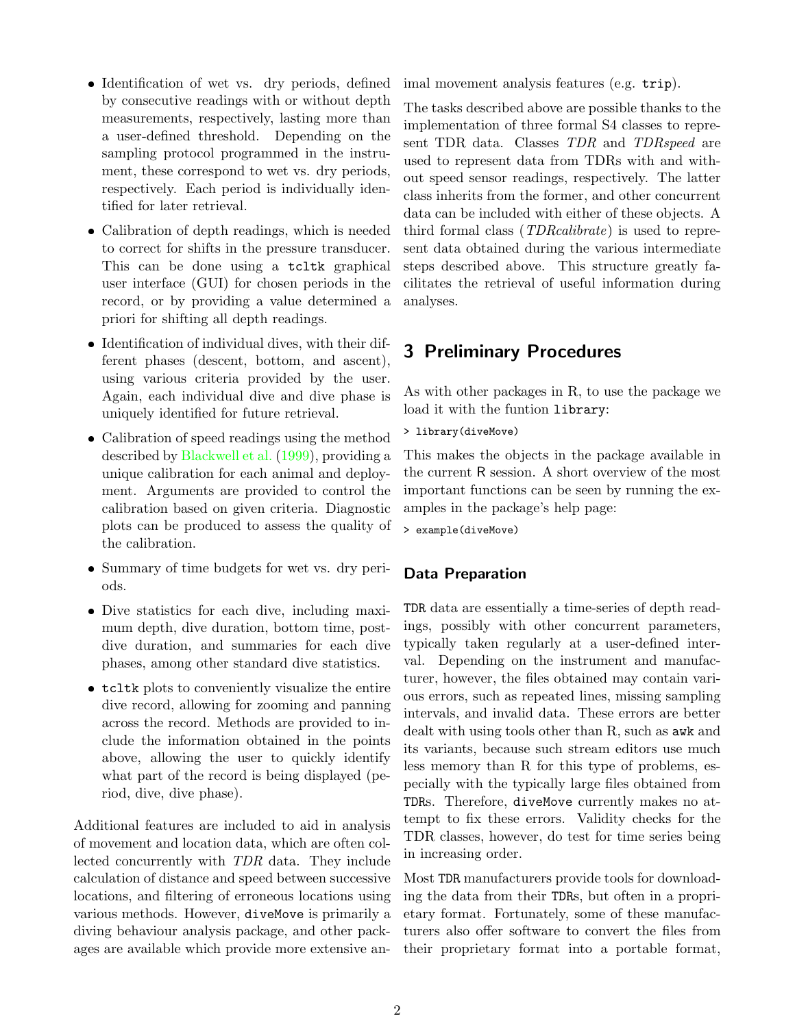- ❼ Identification of wet vs. dry periods, defined by consecutive readings with or without depth measurements, respectively, lasting more than a user-defined threshold. Depending on the sampling protocol programmed in the instrument, these correspond to wet vs. dry periods, respectively. Each period is individually identified for later retrieval.
- Calibration of depth readings, which is needed to correct for shifts in the pressure transducer. This can be done using a tcltk graphical user interface (GUI) for chosen periods in the record, or by providing a value determined a priori for shifting all depth readings.
- ❼ Identification of individual dives, with their different phases (descent, bottom, and ascent), using various criteria provided by the user. Again, each individual dive and dive phase is uniquely identified for future retrieval.
- Calibration of speed readings using the method described by [Blackwell et al.](#page-10-3) [\(1999\)](#page-10-3), providing a unique calibration for each animal and deployment. Arguments are provided to control the calibration based on given criteria. Diagnostic plots can be produced to assess the quality of the calibration.
- ❼ Summary of time budgets for wet vs. dry periods.
- ❼ Dive statistics for each dive, including maximum depth, dive duration, bottom time, postdive duration, and summaries for each dive phases, among other standard dive statistics.
- ❼ tcltk plots to conveniently visualize the entire dive record, allowing for zooming and panning across the record. Methods are provided to include the information obtained in the points above, allowing the user to quickly identify what part of the record is being displayed (period, dive, dive phase).

Additional features are included to aid in analysis of movement and location data, which are often collected concurrently with TDR data. They include calculation of distance and speed between successive locations, and filtering of erroneous locations using various methods. However, diveMove is primarily a diving behaviour analysis package, and other packages are available which provide more extensive animal movement analysis features (e.g. trip).

The tasks described above are possible thanks to the implementation of three formal S4 classes to represent TDR data. Classes TDR and TDRspeed are used to represent data from TDRs with and without speed sensor readings, respectively. The latter class inherits from the former, and other concurrent data can be included with either of these objects. A third formal class (TDRcalibrate) is used to represent data obtained during the various intermediate steps described above. This structure greatly facilitates the retrieval of useful information during analyses.

# <span id="page-1-0"></span>3 Preliminary Procedures

As with other packages in R, to use the package we load it with the funtion library:

> library(diveMove)

This makes the objects in the package available in the current R session. A short overview of the most important functions can be seen by running the examples in the package's help page:

> example(diveMove)

#### Data Preparation

TDR data are essentially a time-series of depth readings, possibly with other concurrent parameters, typically taken regularly at a user-defined interval. Depending on the instrument and manufacturer, however, the files obtained may contain various errors, such as repeated lines, missing sampling intervals, and invalid data. These errors are better dealt with using tools other than R, such as awk and its variants, because such stream editors use much less memory than R for this type of problems, especially with the typically large files obtained from TDRs. Therefore, diveMove currently makes no attempt to fix these errors. Validity checks for the TDR classes, however, do test for time series being in increasing order.

Most TDR manufacturers provide tools for downloading the data from their TDRs, but often in a proprietary format. Fortunately, some of these manufacturers also offer software to convert the files from their proprietary format into a portable format,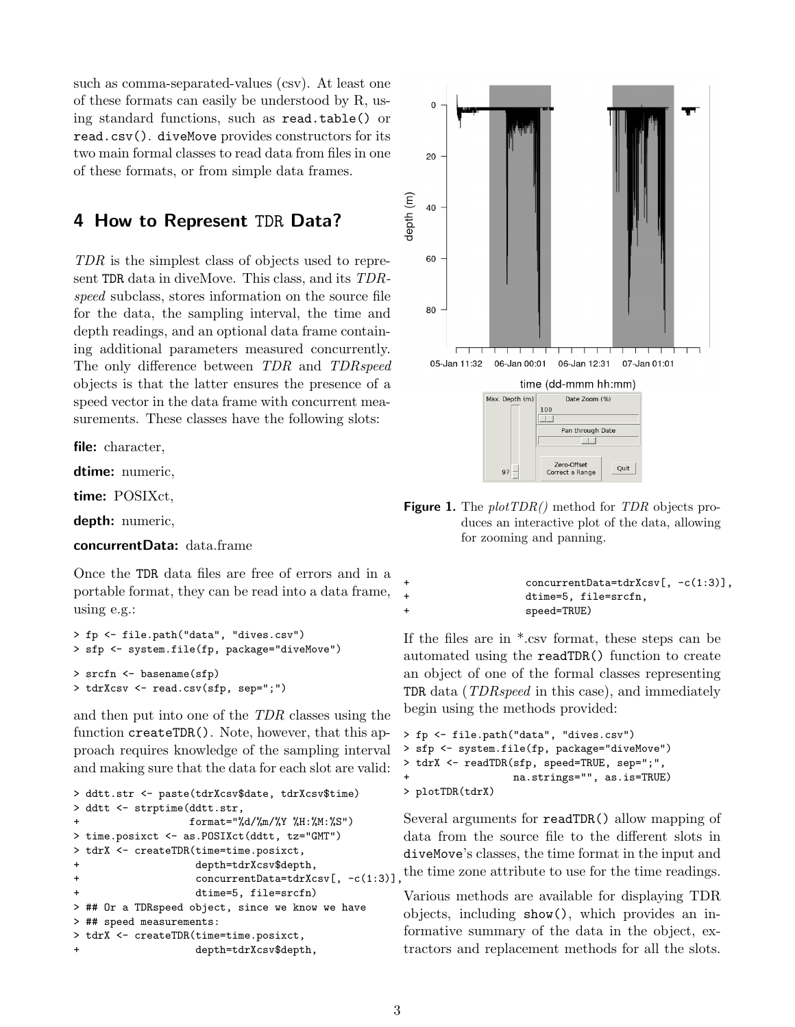such as comma-separated-values (csv). At least one of these formats can easily be understood by R, using standard functions, such as read.table() or read.csv(). diveMove provides constructors for its two main formal classes to read data from files in one of these formats, or from simple data frames.

### <span id="page-2-0"></span>4 How to Represent TDR Data?

TDR is the simplest class of objects used to represent TDR data in diveMove. This class, and its TDRspeed subclass, stores information on the source file for the data, the sampling interval, the time and depth readings, and an optional data frame containing additional parameters measured concurrently. The only difference between TDR and TDRspeed objects is that the latter ensures the presence of a speed vector in the data frame with concurrent measurements. These classes have the following slots:

file: character,

dtime: numeric,

time: POSIXct,

depth: numeric,

concurrentData: data.frame

Once the TDR data files are free of errors and in a portable format, they can be read into a data frame, using e.g.:

```
> fp <- file.path("data", "dives.csv")
> sfp <- system.file(fp, package="diveMove")
> srcfn <- basename(sfp)
> tdrXcsv <- read.csv(sfp, sep=";")
```
and then put into one of the TDR classes using the function createTDR(). Note, however, that this approach requires knowledge of the sampling interval and making sure that the data for each slot are valid:

```
> ddtt.str <- paste(tdrXcsv$date, tdrXcsv$time)
> ddtt <- strptime(ddtt.str,
+ format="%d/%m/%Y %H:%M:%S")
> time.posixct <- as.POSIXct(ddtt, tz="GMT")
> tdrX <- createTDR(time=time.posixct,
+ depth=tdrXcsv$depth,
+ concurrentData=tdrXcsv[, -c(1:3)],
+ dtime=5, file=srcfn)
> ## Or a TDRspeed object, since we know we have
> ## speed measurements:
> tdrX <- createTDR(time=time.posixct,
                 depth=tdrXcsv$depth,
```


<span id="page-2-1"></span>**Figure 1.** The  $plotTDR()$  method for TDR objects produces an interactive plot of the data, allowing for zooming and panning.

|        | $concurrentData=tdrXcsv[, -c(1:3)],$ |
|--------|--------------------------------------|
| $^{+}$ | dtime=5, file=srcfn,                 |
|        | speed=TRUE)                          |

If the files are in \*.csv format, these steps can be automated using the readTDR() function to create an object of one of the formal classes representing TDR data (TDRspeed in this case), and immediately begin using the methods provided:

```
> fp <- file.path("data", "dives.csv")
> sfp <- system.file(fp, package="diveMove")
> tdrX <- readTDR(sfp, speed=TRUE, sep=";",
                  na.strings="", as.is=TRUE)
> plotTDR(tdrX)
```
Several arguments for readTDR() allow mapping of data from the source file to the different slots in diveMove's classes, the time format in the input and the time zone attribute to use for the time readings.

Various methods are available for displaying TDR objects, including show(), which provides an informative summary of the data in the object, extractors and replacement methods for all the slots.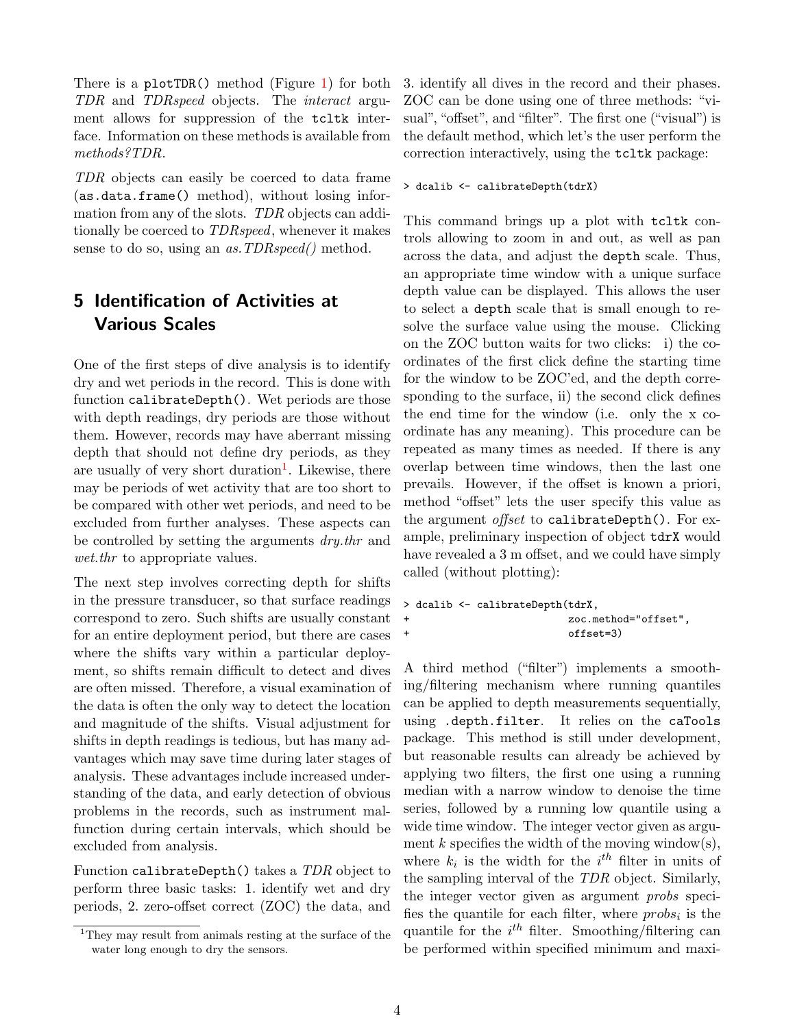There is a plotTDR() method (Figure [1\)](#page-2-1) for both TDR and TDRspeed objects. The interact argument allows for suppression of the tcltk interface. Information on these methods is available from methods?TDR.

TDR objects can easily be coerced to data frame (as.data.frame() method), without losing information from any of the slots. TDR objects can additionally be coerced to TDRspeed, whenever it makes sense to do so, using an *as. TDRspeed*() method.

# <span id="page-3-0"></span>5 Identification of Activities at Various Scales

One of the first steps of dive analysis is to identify dry and wet periods in the record. This is done with function calibrateDepth(). Wet periods are those with depth readings, dry periods are those without them. However, records may have aberrant missing depth that should not define dry periods, as they are usually of very short duration<sup>[1](#page-3-1)</sup>. Likewise, there may be periods of wet activity that are too short to be compared with other wet periods, and need to be excluded from further analyses. These aspects can be controlled by setting the arguments dry.thr and wet.then to appropriate values.

The next step involves correcting depth for shifts in the pressure transducer, so that surface readings correspond to zero. Such shifts are usually constant for an entire deployment period, but there are cases where the shifts vary within a particular deployment, so shifts remain difficult to detect and dives are often missed. Therefore, a visual examination of the data is often the only way to detect the location and magnitude of the shifts. Visual adjustment for shifts in depth readings is tedious, but has many advantages which may save time during later stages of analysis. These advantages include increased understanding of the data, and early detection of obvious problems in the records, such as instrument malfunction during certain intervals, which should be excluded from analysis.

Function calibrateDepth() takes a TDR object to perform three basic tasks: 1. identify wet and dry periods, 2. zero-offset correct (ZOC) the data, and 3. identify all dives in the record and their phases. ZOC can be done using one of three methods: "visual", "offset", and "filter". The first one ("visual") is the default method, which let's the user perform the correction interactively, using the tcltk package:

#### > dcalib <- calibrateDepth(tdrX)

This command brings up a plot with tcltk controls allowing to zoom in and out, as well as pan across the data, and adjust the depth scale. Thus, an appropriate time window with a unique surface depth value can be displayed. This allows the user to select a depth scale that is small enough to resolve the surface value using the mouse. Clicking on the ZOC button waits for two clicks: i) the coordinates of the first click define the starting time for the window to be ZOC'ed, and the depth corresponding to the surface, ii) the second click defines the end time for the window (i.e. only the x coordinate has any meaning). This procedure can be repeated as many times as needed. If there is any overlap between time windows, then the last one prevails. However, if the offset is known a priori, method "offset" lets the user specify this value as the argument *offset* to calibrateDepth(). For example, preliminary inspection of object tdrX would have revealed a 3 m offset, and we could have simply called (without plotting):

```
> dcalib <- calibrateDepth(tdrX,
+ zoc.method="offset",
+ offset=3)
```
A third method ("filter") implements a smoothing/filtering mechanism where running quantiles can be applied to depth measurements sequentially, using .depth.filter. It relies on the caTools package. This method is still under development, but reasonable results can already be achieved by applying two filters, the first one using a running median with a narrow window to denoise the time series, followed by a running low quantile using a wide time window. The integer vector given as argument k specifies the width of the moving window(s), where  $k_i$  is the width for the  $i^{th}$  filter in units of the sampling interval of the TDR object. Similarly, the integer vector given as argument probs specifies the quantile for each filter, where  $probs_i$  is the quantile for the  $i^{th}$  filter. Smoothing/filtering can be performed within specified minimum and maxi-

<span id="page-3-1"></span><sup>1</sup>They may result from animals resting at the surface of the water long enough to dry the sensors.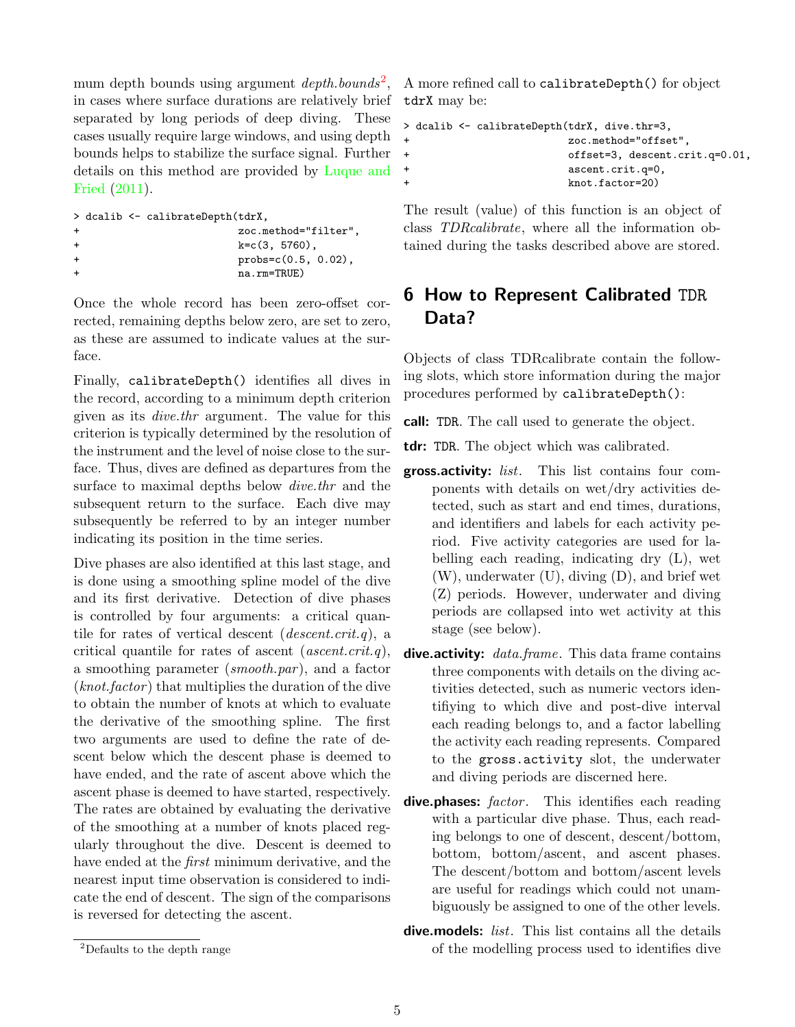mum depth bounds using argument  $depth.bounds^2$  $depth.bounds^2$ , in cases where surface durations are relatively brief separated by long periods of deep diving. These cases usually require large windows, and using depth bounds helps to stabilize the surface signal. Further details on this method are provided by [Luque and](#page-10-4) [Fried](#page-10-4) [\(2011\)](#page-10-4).

```
> dcalib <- calibrateDepth(tdrX,
+ zoc.method="filter",
+ k=c(3, 5760),
+ probs=c(0.5, 0.02),
+ na.rm=TRUE)
```
Once the whole record has been zero-offset corrected, remaining depths below zero, are set to zero, as these are assumed to indicate values at the surface.

Finally, calibrateDepth() identifies all dives in the record, according to a minimum depth criterion given as its dive.thr argument. The value for this criterion is typically determined by the resolution of the instrument and the level of noise close to the surface. Thus, dives are defined as departures from the surface to maximal depths below dive.thr and the subsequent return to the surface. Each dive may subsequently be referred to by an integer number indicating its position in the time series.

Dive phases are also identified at this last stage, and is done using a smoothing spline model of the dive and its first derivative. Detection of dive phases is controlled by four arguments: a critical quantile for rates of vertical descent  $(descent.crit.q)$ , a critical quantile for rates of ascent  $(ascent. crit.q)$ , a smoothing parameter  $(smooth.par)$ , and a factor  $(knot factor)$  that multiplies the duration of the dive to obtain the number of knots at which to evaluate the derivative of the smoothing spline. The first two arguments are used to define the rate of descent below which the descent phase is deemed to have ended, and the rate of ascent above which the ascent phase is deemed to have started, respectively. The rates are obtained by evaluating the derivative of the smoothing at a number of knots placed regularly throughout the dive. Descent is deemed to have ended at the *first* minimum derivative, and the nearest input time observation is considered to indicate the end of descent. The sign of the comparisons is reversed for detecting the ascent.

A more refined call to calibrateDepth() for object tdrX may be:

```
> dcalib <- calibrateDepth(tdrX, dive.thr=3,
+ zoc.method="offset",
+ offset=3, descent.crit.q=0.01,
+ ascent.crit.q=0,
                 knot.factor=20)
```
The result (value) of this function is an object of class TDRcalibrate, where all the information obtained during the tasks described above are stored.

# <span id="page-4-0"></span>6 How to Represent Calibrated TDR Data?

Objects of class TDRcalibrate contain the following slots, which store information during the major procedures performed by calibrateDepth():

call: TDR. The call used to generate the object.

tdr: TDR. The object which was calibrated.

- gross.activity: list. This list contains four components with details on wet/dry activities detected, such as start and end times, durations, and identifiers and labels for each activity period. Five activity categories are used for labelling each reading, indicating dry (L), wet (W), underwater (U), diving (D), and brief wet (Z) periods. However, underwater and diving periods are collapsed into wet activity at this stage (see below).
- dive.activity: *data.frame*. This data frame contains three components with details on the diving activities detected, such as numeric vectors identifiying to which dive and post-dive interval each reading belongs to, and a factor labelling the activity each reading represents. Compared to the gross.activity slot, the underwater and diving periods are discerned here.
- dive.phases: factor. This identifies each reading with a particular dive phase. Thus, each reading belongs to one of descent, descent/bottom, bottom, bottom/ascent, and ascent phases. The descent/bottom and bottom/ascent levels are useful for readings which could not unambiguously be assigned to one of the other levels.
- dive.models: *list*. This list contains all the details of the modelling process used to identifies dive

<span id="page-4-1"></span><sup>2</sup>Defaults to the depth range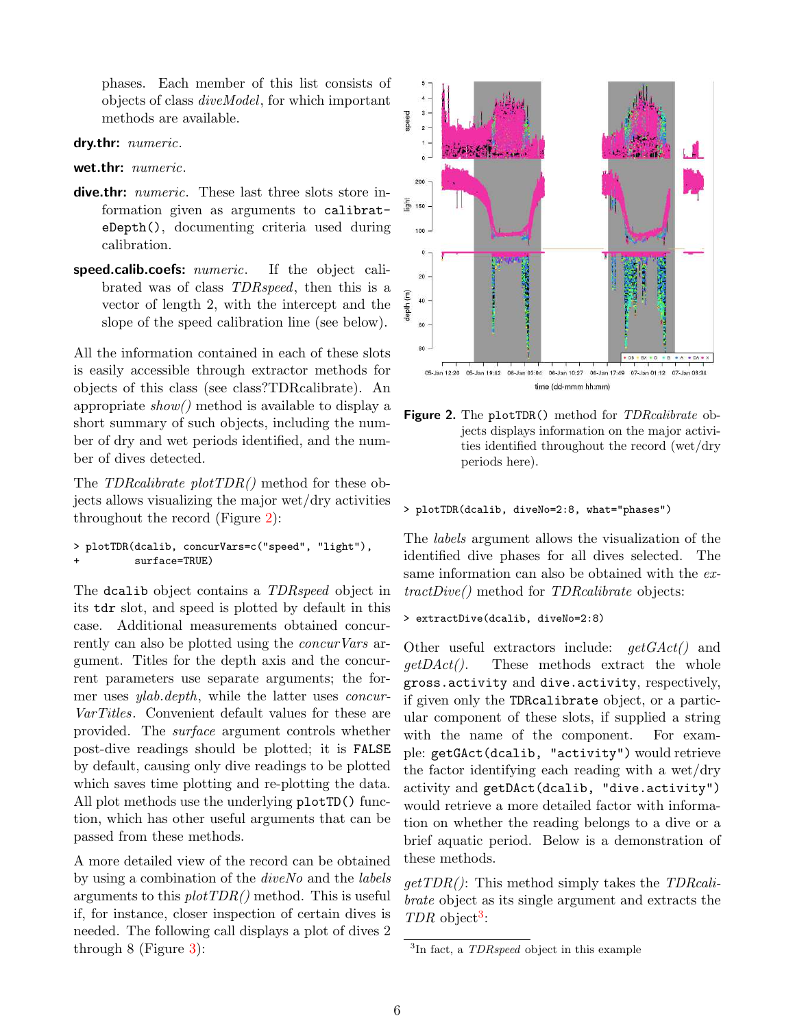phases. Each member of this list consists of objects of class diveModel, for which important methods are available.

#### dry.thr: *numeric*.

wet.thr: *numeric*.

- dive.thr: numeric. These last three slots store information given as arguments to calibrateDepth(), documenting criteria used during calibration.
- speed.calib.coefs: numeric. If the object calibrated was of class TDRspeed, then this is a vector of length 2, with the intercept and the slope of the speed calibration line (see below).

All the information contained in each of these slots is easily accessible through extractor methods for objects of this class (see class?TDRcalibrate). An appropriate  $show()$  method is available to display a short summary of such objects, including the number of dry and wet periods identified, and the number of dives detected.

The TDRcalibrate plotTDR() method for these objects allows visualizing the major wet/dry activities throughout the record (Figure [2\)](#page-5-0):

```
> plotTDR(dcalib, concurVars=c("speed", "light"),
          surface=TRUE)
```
The dcalib object contains a TDRspeed object in its tdr slot, and speed is plotted by default in this case. Additional measurements obtained concurrently can also be plotted using the *concurVars* argument. Titles for the depth axis and the concurrent parameters use separate arguments; the former uses ylab.depth, while the latter uses concur-VarTitles. Convenient default values for these are provided. The surface argument controls whether post-dive readings should be plotted; it is FALSE by default, causing only dive readings to be plotted which saves time plotting and re-plotting the data. All plot methods use the underlying plotTD() function, which has other useful arguments that can be passed from these methods.

A more detailed view of the record can be obtained by using a combination of the diveNo and the labels arguments to this  $plotTDR()$  method. This is useful if, for instance, closer inspection of certain dives is needed. The following call displays a plot of dives 2 through 8 (Figure [3\)](#page-6-0):



<span id="page-5-0"></span>Figure 2. The plotTDR() method for *TDRcalibrate* objects displays information on the major activities identified throughout the record (wet/dry periods here).

#### > plotTDR(dcalib, diveNo=2:8, what="phases")

The labels argument allows the visualization of the identified dive phases for all dives selected. The same information can also be obtained with the extractDive() method for TDRcalibrate objects:

> extractDive(dcalib, diveNo=2:8)

Other useful extractors include:  $qetGAct()$  and  $getDAct()$ . These methods extract the whole gross.activity and dive.activity, respectively, if given only the TDRcalibrate object, or a particular component of these slots, if supplied a string with the name of the component. For example: getGAct(dcalib, "activity") would retrieve the factor identifying each reading with a wet/dry activity and getDAct(dcalib, "dive.activity") would retrieve a more detailed factor with information on whether the reading belongs to a dive or a brief aquatic period. Below is a demonstration of these methods.

 $getTDR()$ : This method simply takes the TDRcalibrate object as its single argument and extracts the  $TDR$  object<sup>[3](#page-5-1)</sup>:

<span id="page-5-1"></span> ${}^{3}$ In fact, a *TDRspeed* object in this example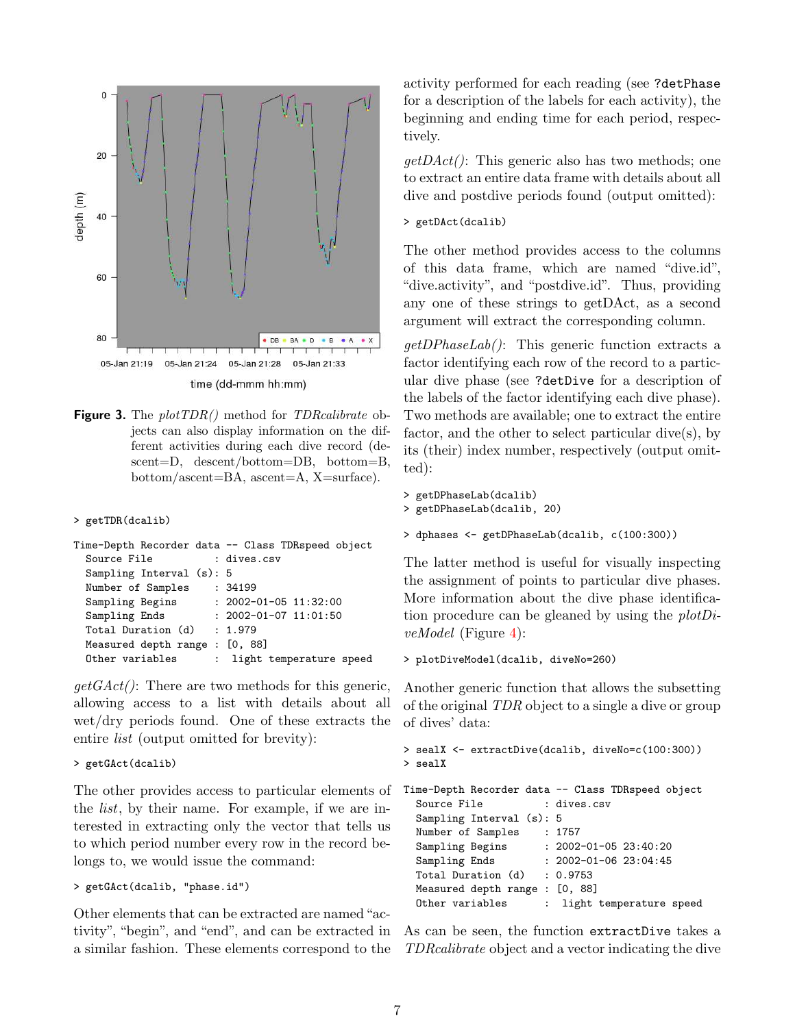

<span id="page-6-0"></span>**Figure 3.** The  $plotTDR()$  method for *TDRcalibrate* objects can also display information on the different activities during each dive record (descent=D, descent/bottom=DB, bottom=B, bottom/ascent=BA, ascent=A, X=surface).

#### > getTDR(dcalib)

|                                |  | Time-Depth Recorder data -- Class TDRspeed object |
|--------------------------------|--|---------------------------------------------------|
| Source File                    |  | : dives.csv                                       |
| Sampling Interval $(s)$ : 5    |  |                                                   |
| Number of Samples              |  | :34199                                            |
| Sampling Begins                |  | $: 2002 - 01 - 05$ 11:32:00                       |
| Sampling Ends                  |  | $: 2002 - 01 - 07$ 11:01:50                       |
| Total Duration (d)             |  | : 1.979                                           |
| Measured depth range : [0, 88] |  |                                                   |
| Other variables                |  | : light temperature speed                         |

 $getGAct$ : There are two methods for this generic, allowing access to a list with details about all wet/dry periods found. One of these extracts the entire *list* (output omitted for brevity):

#### > getGAct(dcalib)

The other provides access to particular elements of the list, by their name. For example, if we are interested in extracting only the vector that tells us to which period number every row in the record belongs to, we would issue the command:

> getGAct(dcalib, "phase.id")

Other elements that can be extracted are named"activity", "begin", and "end", and can be extracted in a similar fashion. These elements correspond to the activity performed for each reading (see ?detPhase for a description of the labels for each activity), the beginning and ending time for each period, respectively.

 $getDAct()$ : This generic also has two methods; one to extract an entire data frame with details about all dive and postdive periods found (output omitted):

#### > getDAct(dcalib)

The other method provides access to the columns of this data frame, which are named "dive.id", "dive.activity", and "postdive.id". Thus, providing any one of these strings to getDAct, as a second argument will extract the corresponding column.

 $getDPhaseLab$ : This generic function extracts a factor identifying each row of the record to a particular dive phase (see ?detDive for a description of the labels of the factor identifying each dive phase). Two methods are available; one to extract the entire factor, and the other to select particular dive(s), by its (their) index number, respectively (output omitted):

```
> getDPhaseLab(dcalib)
> getDPhaseLab(dcalib, 20)
```

```
> dphases <- getDPhaseLab(dcalib, c(100:300))
```
The latter method is useful for visually inspecting the assignment of points to particular dive phases. More information about the dive phase identification procedure can be gleaned by using the plotDiveModel (Figure [4\)](#page-7-2):

```
> plotDiveModel(dcalib, diveNo=260)
```
Another generic function that allows the subsetting of the original TDR object to a single a dive or group of dives' data:

```
> sealX <- extractDive(dcalib, diveNo=c(100:300))
> sealX
Time-Depth Recorder data -- Class TDRspeed object
```

```
Source File : dives.csv
Sampling Interval (s): 5
Number of Samples : 1757
Sampling Begins : 2002-01-05 23:40:20
Sampling Ends : 2002-01-06 23:04:45
Total Duration (d) : 0.9753
Measured depth range : [0, 88]
Other variables : light temperature speed
```
As can be seen, the function extractDive takes a TDRcalibrate object and a vector indicating the dive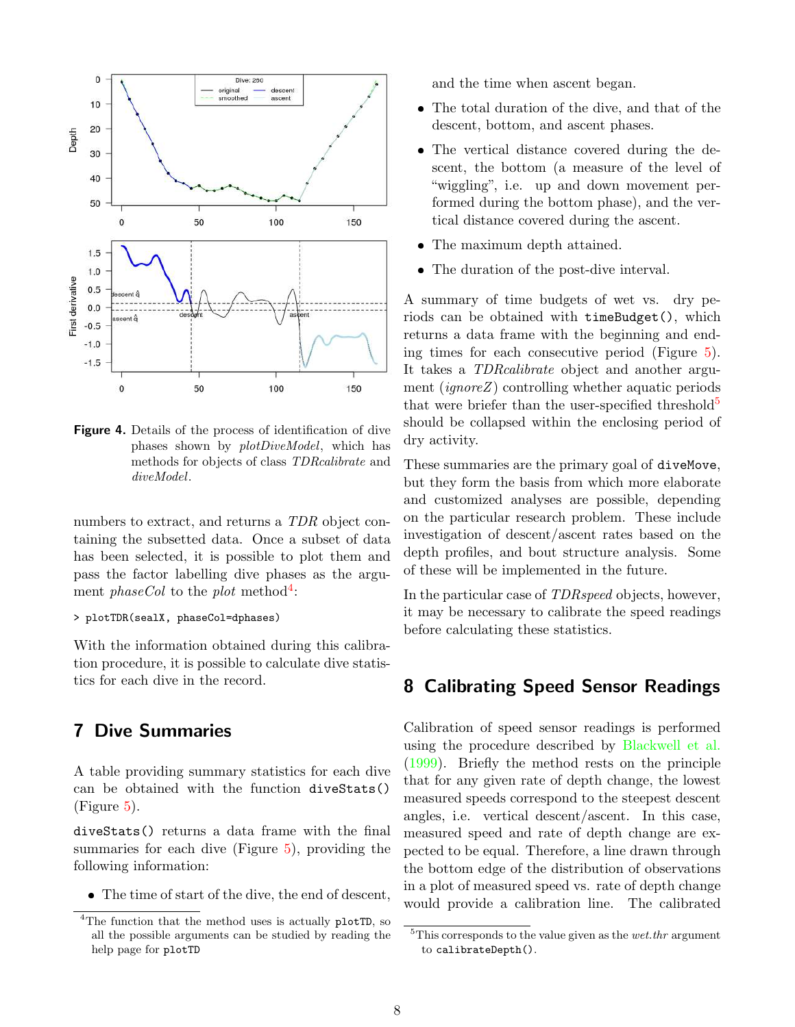

<span id="page-7-2"></span>Figure 4. Details of the process of identification of dive phases shown by plotDiveModel, which has methods for objects of class TDRcalibrate and diveModel.

numbers to extract, and returns a TDR object containing the subsetted data. Once a subset of data has been selected, it is possible to plot them and pass the factor labelling dive phases as the argument *phaseCol* to the *plot* method<sup>[4](#page-7-3)</sup>:

#### > plotTDR(sealX, phaseCol=dphases)

With the information obtained during this calibration procedure, it is possible to calculate dive statistics for each dive in the record.

### <span id="page-7-0"></span>7 Dive Summaries

A table providing summary statistics for each dive can be obtained with the function diveStats() (Figure [5\)](#page-8-0).

diveStats() returns a data frame with the final summaries for each dive  $(Figure 5)$  $(Figure 5)$ , providing the following information:

● The time of start of the dive, the end of descent,

and the time when ascent began.

- The total duration of the dive, and that of the descent, bottom, and ascent phases.
- ❼ The vertical distance covered during the descent, the bottom (a measure of the level of "wiggling", i.e. up and down movement performed during the bottom phase), and the vertical distance covered during the ascent.
- The maximum depth attained.
- ❼ The duration of the post-dive interval.

A summary of time budgets of wet vs. dry periods can be obtained with timeBudget(), which returns a data frame with the beginning and ending times for each consecutive period (Figure [5\)](#page-8-0). It takes a TDRcalibrate object and another argument (ignoreZ) controlling whether aquatic periods that were briefer than the user-specified threshold<sup>[5](#page-7-4)</sup> should be collapsed within the enclosing period of dry activity.

These summaries are the primary goal of diveMove, but they form the basis from which more elaborate and customized analyses are possible, depending on the particular research problem. These include investigation of descent/ascent rates based on the depth profiles, and bout structure analysis. Some of these will be implemented in the future.

In the particular case of TDRspeed objects, however, it may be necessary to calibrate the speed readings before calculating these statistics.

# <span id="page-7-1"></span>8 Calibrating Speed Sensor Readings

Calibration of speed sensor readings is performed using the procedure described by [Blackwell et al.](#page-10-3) [\(1999\)](#page-10-3). Briefly the method rests on the principle that for any given rate of depth change, the lowest measured speeds correspond to the steepest descent angles, i.e. vertical descent/ascent. In this case, measured speed and rate of depth change are expected to be equal. Therefore, a line drawn through the bottom edge of the distribution of observations in a plot of measured speed vs. rate of depth change would provide a calibration line. The calibrated

<span id="page-7-3"></span><sup>&</sup>lt;sup>4</sup>The function that the method uses is actually plotTD, so all the possible arguments can be studied by reading the help page for plotTD

<span id="page-7-4"></span> $5$ This corresponds to the value given as the *wet.thr* argument to calibrateDepth().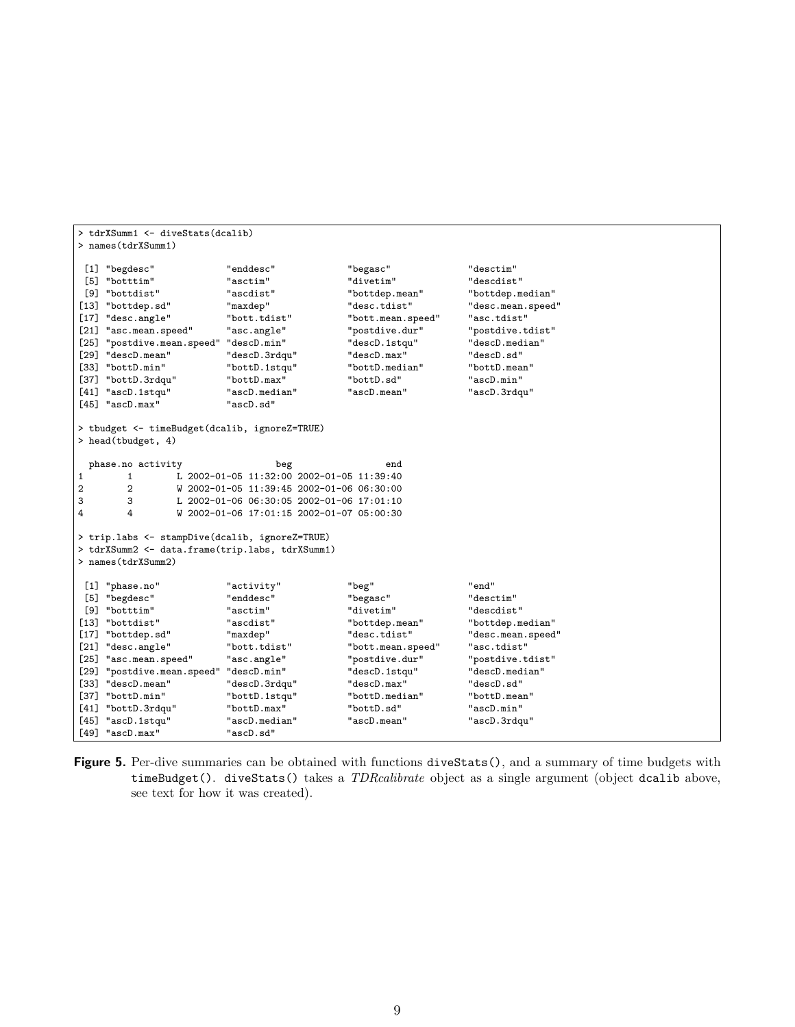```
> tdrXSumm1 <- diveStats(dcalib)
> names(tdrXSumm1)
 [1] "begdesc" "enddesc" "begasc" "desctim"
[5] "botttim"                 "asctim"                   "divetim"               "descdist"                   "bottdist"                             "bottdist"                           "bottdep.mean"                      
                           [9] "bottdist" "ascdist" "bottdep.mean" "bottdep.median"
[13] "bottdep.sd"
[17] "desc.angle" "bott.tdist" "bott.mean.speed" "asc.tdist"
[21] "asc.mean.speed" "asc.angle" " "postdive.dur"
[25] "postdive.mean.speed" "descD.min" "descD.1stqu" "descD.median"
-<br>[29] "descD.mean" "descD.3rdqu" "descD.max" "descD.sd"<br>[33] "bottD.min" "bottD.1stqu" "bottD.median" "bottD.mean"
[33] "bottD.min"
[37] "bottD.3rdqu" "bottD.max" "bottD.sd" "ascD.min"
[41] "ascD.1stqu" "ascD.med<br>[45] "ascD.max" "ascD.sd"
[45] "ascD.max"
> tbudget <- timeBudget(dcalib, ignoreZ=TRUE)
> head(tbudget, 4)
  phase.no activity beg beg end
\frac{1}{1} 1 \frac{1}{1} 2002-01-05 11:32:00 2002-01-05 11:39:40
2 2 W 2002-01-05 11:39:45 2002-01-06 06:30:00
3 3 L 2002-01-06 06:30:05 2002-01-06 17:01:10<br>4 \frac{1}{2002-01-06} 17:01:15 2002-01-07 05:00:30
         4 4 W 2002-01-06 17:01:15 2002-01-07 05:00:30
> trip.labs <- stampDive(dcalib, ignoreZ=TRUE)
> tdrXSumm2 <- data.frame(trip.labs, tdrXSumm1)
> names(tdrXSumm2)
 [1] "phase.no"  = "activity"  = "beg"  = "end"  = "end"  = "end"  = "end"  = "end"  = "end"  = "end"  = "end" "end"  = "end"  = "end"  = "end"  = "end"  = "end"  = "end"  = "end"  = "end"  = "end"  = "end"  = "end"  = "end
 [5] "begdesc" "enddesc" "begasc"
[9] "botttim" "asctim" "divetim" "descdist"
                           [13] "bottdist" "ascdist" "bottdep.mean" "bottdep.median"
[17] "bottdep.sd"
[21] "desc.angle" "bott.tdist" "bott.mean.speed" "asc.tdist"
[25] "asc.mean.speed" "asc.angle" " "postdive.dur"
[29] "postdive.mean.speed" "descD.min" "descD.1stqu" "descD.median"
[33] "descD.mean" "descD.3rdqu" "descD.max" "descD.sd"
[37] "bottD.min" "bottD.1stqu" "bottD.median" "bottD.mean"
[41] "bottD.3rdqu" "bottD.max" "bottD.sd" "ascD.min"
[45] "ascD.1stqu" "ascD.med<br>[49] "ascD.max" "ascD.sd"
[49] "ascD.max"
```
<span id="page-8-0"></span>Figure 5. Per-dive summaries can be obtained with functions diveStats(), and a summary of time budgets with timeBudget(). diveStats() takes a TDRcalibrate object as a single argument (object dcalib above, see text for how it was created).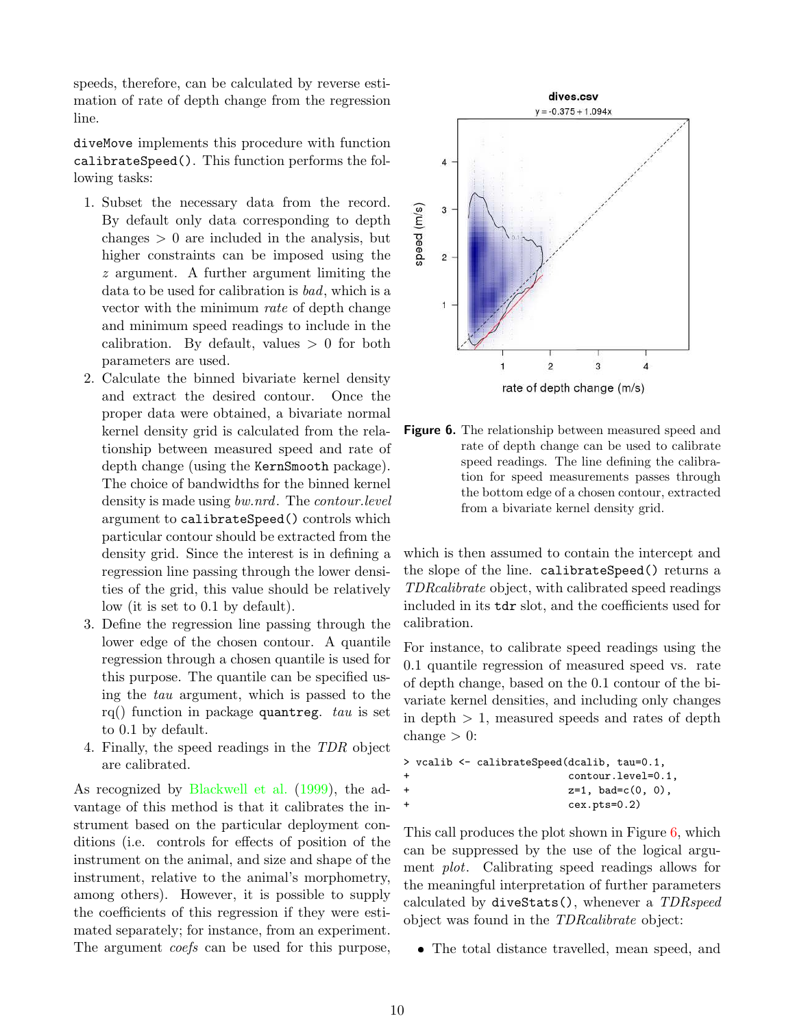speeds, therefore, can be calculated by reverse estimation of rate of depth change from the regression line.

diveMove implements this procedure with function calibrateSpeed(). This function performs the following tasks:

- 1. Subset the necessary data from the record. By default only data corresponding to depth changes  $> 0$  are included in the analysis, but higher constraints can be imposed using the z argument. A further argument limiting the data to be used for calibration is bad, which is a vector with the minimum rate of depth change and minimum speed readings to include in the calibration. By default, values  $> 0$  for both parameters are used.
- 2. Calculate the binned bivariate kernel density and extract the desired contour. Once the proper data were obtained, a bivariate normal kernel density grid is calculated from the relationship between measured speed and rate of depth change (using the KernSmooth package). The choice of bandwidths for the binned kernel density is made using *bw.nrd*. The *contour.level* argument to calibrateSpeed() controls which particular contour should be extracted from the density grid. Since the interest is in defining a regression line passing through the lower densities of the grid, this value should be relatively low (it is set to 0.1 by default).
- 3. Define the regression line passing through the lower edge of the chosen contour. A quantile regression through a chosen quantile is used for this purpose. The quantile can be specified using the tau argument, which is passed to the rq() function in package quantreg. tau is set to 0.1 by default.
- 4. Finally, the speed readings in the TDR object are calibrated.

As recognized by [Blackwell et al.](#page-10-3) [\(1999\)](#page-10-3), the advantage of this method is that it calibrates the instrument based on the particular deployment conditions (i.e. controls for effects of position of the instrument on the animal, and size and shape of the instrument, relative to the animal's morphometry, among others). However, it is possible to supply the coefficients of this regression if they were estimated separately; for instance, from an experiment. The argument *coefs* can be used for this purpose,



<span id="page-9-0"></span>**Figure 6.** The relationship between measured speed and rate of depth change can be used to calibrate speed readings. The line defining the calibration for speed measurements passes through the bottom edge of a chosen contour, extracted from a bivariate kernel density grid.

which is then assumed to contain the intercept and the slope of the line. calibrateSpeed() returns a TDRcalibrate object, with calibrated speed readings included in its tdr slot, and the coefficients used for calibration.

For instance, to calibrate speed readings using the 0.1 quantile regression of measured speed vs. rate of depth change, based on the 0.1 contour of the bivariate kernel densities, and including only changes in depth  $> 1$ , measured speeds and rates of depth change  $> 0$ :

```
> vcalib <- calibrateSpeed(dcalib, tau=0.1,
                  contour.level=0.1,
+ z=1, bad=c(0, 0),
+ cex.pts=0.2)
```
This call produces the plot shown in Figure [6,](#page-9-0) which can be suppressed by the use of the logical argument plot. Calibrating speed readings allows for the meaningful interpretation of further parameters calculated by diveStats(), whenever a TDRspeed object was found in the TDRcalibrate object:

❼ The total distance travelled, mean speed, and